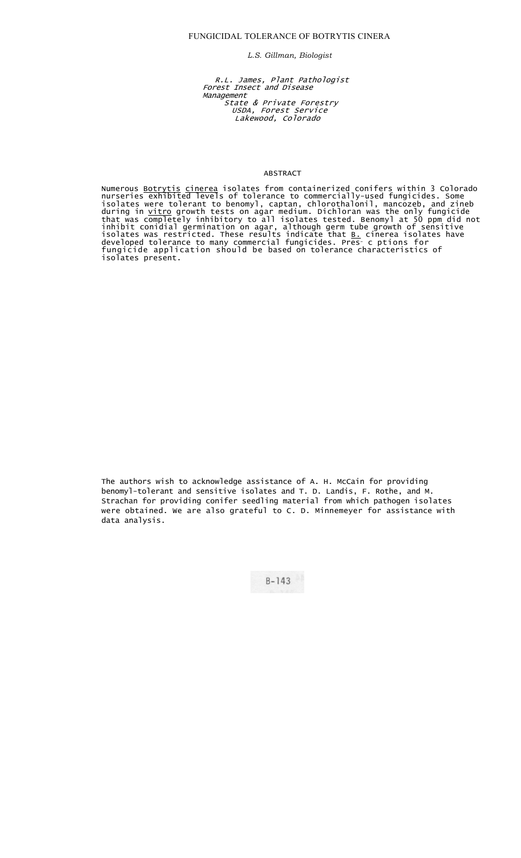*L.S. Gillman, Biologist*

R.L. James, Plant Pathologist Forest Insect and Disease Management State & Private Forestry USDA, Forest Service Lakewood, Colorado

### ABSTRACT

Numerous <u>Botrytis cinerea</u> isolates from containerized conifers within 3 Colorado nurseries exhibited levels of tolerance to commercially-used fungicides. Some isolates were tolerant to benomyl, captan, chlorothalonil, mancozeb, and zineb during in <u>vitro</u> growth tests on agar medium. Dichloran was the only fungicide that was completely inhibitory to all isolates tested. Benomyl at 50 ppm did not inhibit conidial germination on agar, although germ tube growth of sensitive isolates was restricted. These results indicate that <u>B.</u> cinerea isolates have developed tolerance to many commercial fungicides. Pres- c ptions for fungicide application should be based on tolerance characteristics of isolates present.

The authors wish to acknowledge assistance of A. H. McCain for providing benomyl-tolerant and sensitive isolates and T. D. Landis, F. Rothe, and M. Strachan for providing conifer seedling material from which pathogen isolates were obtained. We are also grateful to C. D. Minnemeyer for assistance with data analysis.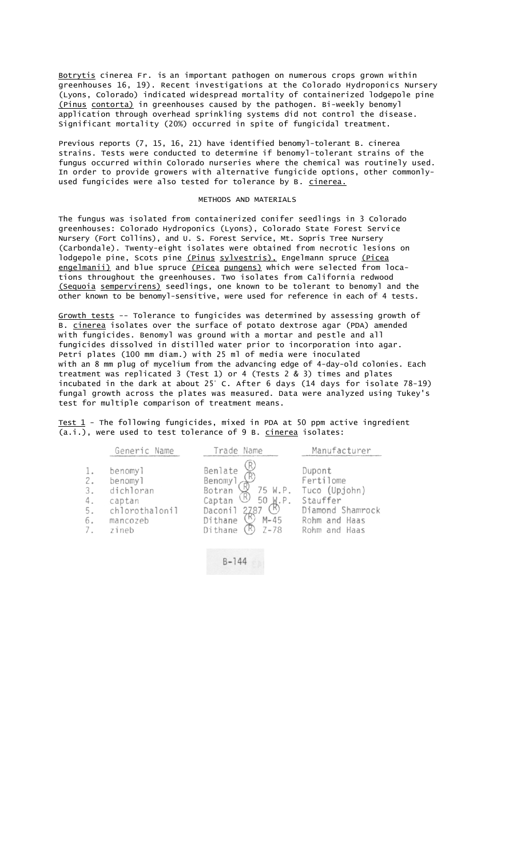Botrytis cinerea Fr. is an important pathogen on numerous crops grown within greenhouses 16, 19). Recent investigations at the Colorado Hydroponics Nursery (Lyons, Colorado) indicated widespread mortality of containerized lodgepole pine (Pinus contorta) in greenhouses caused by the pathogen. Bi-weekly benomyl application through overhead sprinkling systems did not control the disease. Significant mortality (20%) occurred in spite of fungicidal treatment.

Previous reports (7, 15, 16, 21) have identified benomyl-tolerant B. cinerea strains. Tests were conducted to determine if benomyl-tolerant strains of the fungus occurred within Colorado nurseries where the chemical was routinely used. In order to provide growers with alternative fungicide options, other commonlyused fungicides were also tested for tolerance by B. cinerea.

## METHODS AND MATERIALS

The fungus was isolated from containerized conifer seedlings in 3 Colorado greenhouses: Colorado Hydroponics (Lyons), Colorado State Forest Service Nursery (Fort Collins), and U. S. Forest Service, Mt. Sopris Tree Nursery (Carbondale). Twenty-eight isolates were obtained from necrotic lesions on lodgepole pine, Scots pine (Pinus sylvestris), Engelmann spruce (Picea engelmanii) and blue spruce (Picea pungens) which were selected from locations throughout the greenhouses. Two isolates from California redwood (Sequoia sempervirens) seedlings, one known to be tolerant to benomyl and the other known to be benomyl-sensitive, were used for reference in each of 4 tests.

Growth tests -- Tolerance to fungicides was determined by assessing growth of B. cinerea isolates over the surface of potato dextrose agar (PDA) amended with fungicides. Benomyl was ground with a mortar and pestle and all fungicides dissolved in distilled water prior to incorporation into agar. Petri plates (100 mm diam.) with 25 ml of media were inoculated with an 8 mm plug of mycelium from the advancing edge of 4-day-old colonies. Each treatment was replicated 3 (Test 1) or 4 (Tests 2 & 3) times and plates incubated in the dark at about 25° C. After 6 days (14 days for isolate 78-19) fungal growth across the plates was measured. Data were analyzed using Tukey's test for multiple comparison of treatment means.

Test 1 - The following fungicides, mixed in PDA at 50 ppm active ingredient (a.i.), were used to test tolerance of 9 B. cinerea isolates:

| Generic Name                                                                                                                             | Name<br><i>r</i> ade                                                                                                                 | Manufacturer                                                                                           |
|------------------------------------------------------------------------------------------------------------------------------------------|--------------------------------------------------------------------------------------------------------------------------------------|--------------------------------------------------------------------------------------------------------|
| benomy <sub>1</sub><br>1.<br>2.<br>benomyl<br>3.<br>dichloran<br>4.<br>captan<br>$5.$<br>chlorothalonil<br>6.<br>mancozeb<br>7.<br>zineb | Benlate<br>Benomy1<br>75 W.P.<br>Botran<br>50 W.P.<br>Captan<br>(K)<br>Daconil<br>2787<br>$M - 45$<br>Dithane<br>$Z - 78$<br>Dithane | Dupont<br>Fertilome<br>Tuco (Upjohn)<br>Stauffer<br>Diamond Shamrock<br>Rohm and Haas<br>Rohm and Haas |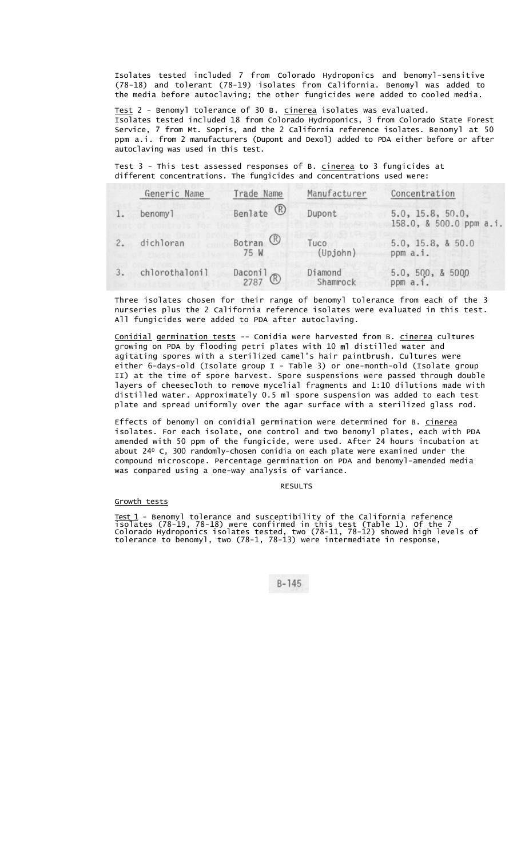Isolates tested included 7 from Colorado Hydroponics and benomyl-sensitive (78-18) and tolerant (78-19) isolates from California. Benomyl was added to the media before autoclaving; the other fungicides were added to cooled media.

Test 2 - Benomyl tolerance of 30 B. cinerea isolates was evaluated. Isolates tested included 18 from Colorado Hydroponics, 3 from Colorado State Forest Service, 7 from Mt. Sopris, and the 2 California reference isolates. Benomyl at 50 ppm a.i. from 2 manufacturers (Dupont and Dexol) added to PDA either before or after autoclaving was used in this test.

Test 3 - This test assessed responses of B. cinerea to 3 fungicides at different concentrations. The fungicides and concentrations used were:

|    | Generic Name   | Trade Name                    | Manufacturer        | Concentration                               |
|----|----------------|-------------------------------|---------------------|---------------------------------------------|
|    | benomy1        | Benlate ®                     | Dupont              | 5.0, 15.8, 50.0,<br>158.0, & 500.0 ppm a.i. |
| 2. | dichloran      | Botran <sup>(R)</sup><br>75 W | Tuco<br>(Upjohn)    | 5.0, 15.8, 8.50.0<br>ppm a.i.               |
|    | chlorothalonil | Daconil <sup>2</sup>          | Diamond<br>Shamrock | 5.0, 500, 85000<br>ppm a.i.                 |

Three isolates chosen for their range of benomyl tolerance from each of the 3 nurseries plus the 2 California reference isolates were evaluated in this test. All fungicides were added to PDA after autoclaving.

Conidial germination tests -- Conidia were harvested from B. cinerea cultures growing on PDA by flooding petri plates with 10 ml distilled water and agitating spores with a sterilized camel's hair paintbrush. Cultures were either 6-days-old (Isolate group I - Table 3) or one-month-old (Isolate group II) at the time of spore harvest. Spore suspensions were passed through double layers of cheesecloth to remove mycelial fragments and 1:10 dilutions made with distilled water. Approximately 0.5 ml spore suspension was added to each test plate and spread uniformly over the agar surface with a sterilized glass rod.

Effects of benomyl on conidial germination were determined for B. cinerea isolates. For each isolate, one control and two benomyl plates, each with PDA amended with 50 ppm of the fungicide, were used. After 24 hours incubation at about 240 C, 300 randomly-chosen conidia on each plate were examined under the compound microscope. Percentage germination on PDA and benomyl-amended media was compared using a one-way analysis of variance.

#### RESULTS

#### Growth tests

Test 1 - Benomyl tolerance and susceptibility of the California reference isolates (78-19, 78-18) were confirmed in this test (Table 1). Of the 7 Colorado Hydroponics isolates tested, two (78-11, 78-12) showed high levels of tolerance to benomyl, two (78-1, 78-13) were intermediate in response,

 $B - 145$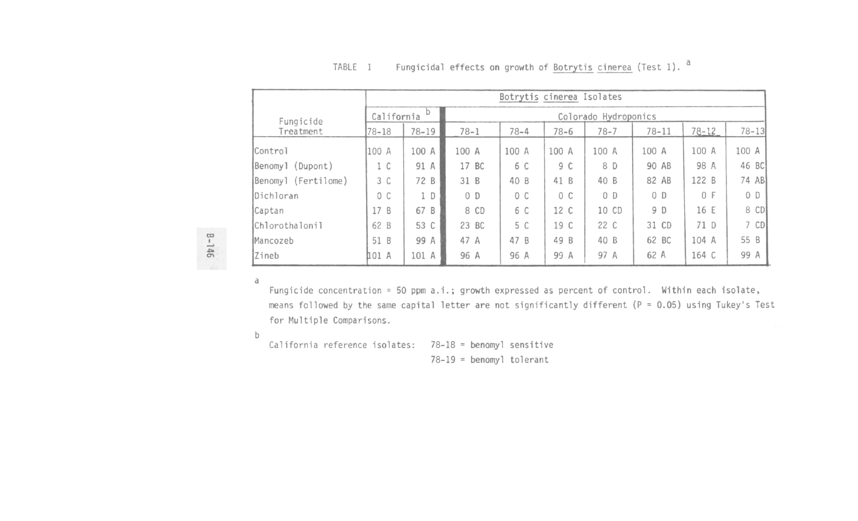|                      |            | Botrytis cinerea Isolates |                      |          |          |                |                |           |           |  |  |
|----------------------|------------|---------------------------|----------------------|----------|----------|----------------|----------------|-----------|-----------|--|--|
| Fungicide            | California | D                         | Colorado Hydroponics |          |          |                |                |           |           |  |  |
| Treatment            | 78-18      | $78 - 19$                 | $78 - 1$             | $78 - 4$ | $78 - 6$ | $78 - 7$       | $78 - 11$      | $78 - 12$ | $78 - 13$ |  |  |
| Control              | 100 A      | 100 A                     | 100 A                | 100 A    | 100 A    | 100 A          | 100 A          | 100 A     | 100 A     |  |  |
| (Dupont)<br> Benomyl | 1 C        | 91 A                      | 17 BC                | 6 C      | 9 C      | 8 D            | 90 AB          | 98 A      | 46 BC     |  |  |
| Benomyl (Fertilome)  | 3 C        | 72 B                      | 31 B                 | 40 B     | 41 B     | 40 B           | 82 AB          | 122 B     | 74 AB     |  |  |
| Dichloran            | 0 C        | 1 D                       | 0 <sub>D</sub>       | 0 C      | 0 C      | 0 <sub>D</sub> | 0 <sub>D</sub> | 0 F       | $0$ D     |  |  |
| Captan               | 17B        | 67 B                      | 8 CD                 | 6 C      | 12 C     | 10 CD          | 9 D            | 16 E      | 8 CD      |  |  |
| Chlorothalonil       | 62 B       | 53 C                      | 23 BC                | 5 C      | 19 C     | 22 C           | 31 CD          | 71 D      | $7$ CD    |  |  |
| Mancozeb             | 51 B       | 99 A                      | 47 A                 | 47 B     | 49 B     | 40 B           | 62 BC          | 104 A     | 55 B      |  |  |
| Zineb                | 101 A      | 101 A                     | 96 A                 | 96 A     | 99 A     | 97 A           | 62 A           | 164 C     | 99 A      |  |  |

#### Fungicidal effects on growth of Botrytis cinerea (Test 1). <sup>a</sup> TABLE 1

**B-146** 

Fungicide concentration = 50 ppm a.i.; growth expressed as percent of control. Within each isolate, means followed by the same capital letter are not significantly different ( $P = 0.05$ ) using Tukey's Test for Multiple Comparisons.

 $b$ 

a

California reference isolates: 78-18 = benomyl sensitive

 $78-19$  = benomyl tolerant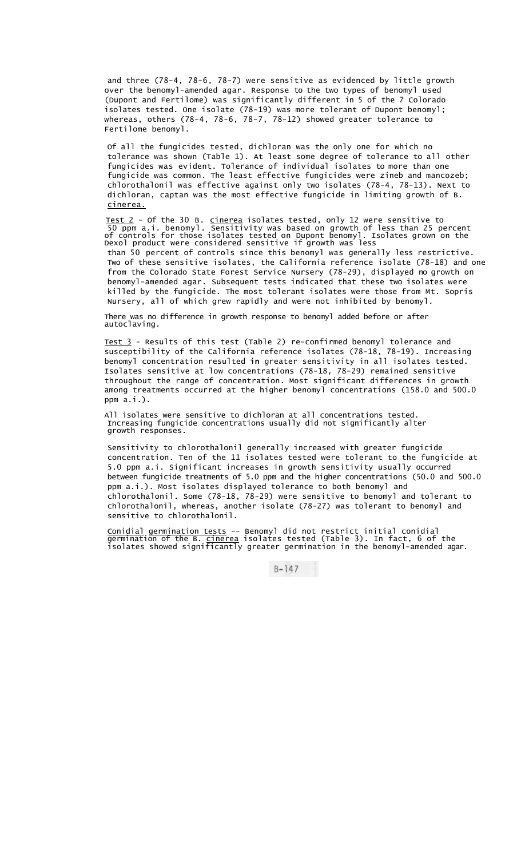and three (78-4, 78-6, 78-7) were sensitive as evidenced by little growth over the benomyl-amended agar. Response to the two types of benomyl used (Dupont and Fertilome) was significantly different in 5 of the 7 Colorado isolates tested. One isolate (78-19) was more tolerant of Dupont benomyl; whereas, others (78-4, 78-6, 78-7, 78-12) showed greater tolerance to Fertilome benomyl.

Of all the fungicides tested, dichloran was the only one for which no tolerance was shown (Table 1). At least some degree of tolerance to all other fungicides was evident. Tolerance of individual isolates to more than one fungicide was common. The least effective fungicides were zineb and mancozeb; chlorothalonil was effective against only two isolates (78-4, 78-13). Next to dichloran, captan was the most effective fungicide in limiting growth of B. cinerea.

<u>Test 2</u> - Of the 30 B. <u>cinerea</u> isolates tested, only 12 were sensitive to 50 ppm a.i. benomyl. Sensitivity was based on growth of less than 25 percent of controls for those isolates tested on Dupont benomyl. Isolates grown on the Dexol product were considered sensitive if growth was less than 50 percent of controls since this benomyl was generally less restrictive. Two of these sensitive isolates, the California reference isolate (78-18) and one from the Colorado State Forest Service Nursery (78-29), displayed no growth on benomyl-amended agar. Subsequent tests indicated that these two isolates were killed by the fungicide. The most tolerant isolates were those from Mt. Sopris Nursery, all of which grew rapidly and were not inhibited by benomyl.

There was no difference in growth response to benomyl added before or after autoclaving.

Test 3 - Results of this test (Table 2) re-confirmed benomyl tolerance and susceptibility of the California reference isolates (78-18, 78-19). Increasing benomyl concentration resulted in greater sensitivity in all isolates tested. Isolates sensitive at low concentrations (78-18, 78-29) remained sensitive throughout the range of concentration. Most significant differences in growth among treatments occurred at the higher benomyl concentrations (158.0 and 500.0 ppm a.i.).

All isolates were sensitive to dichloran at all concentrations tested. Increasing fungicide concentrations usually did not significantly alter growth responses.

Sensitivity to chlorothalonil generally increased with greater fungicide concentration. Ten of the 11 isolates tested were tolerant to the fungicide at 5.0 ppm a.i. Significant increases in growth sensitivity usually occurred between fungicide treatments of 5.0 ppm and the higher concentrations (50.0 and 500.0 ppm a.i.). Most isolates displayed tolerance to both benomyl and chlorothalonil. Some (78-18, 78-29) were sensitive to benomyl and tolerant to chlorothalonil, whereas, another isolate (78-27) was tolerant to benomyl and sensitive to chlorothalonil.

Conidial germination tests -- Benomyl did not restrict initial conidial germination of the B. <u>cinerea</u> isolates tested (Table 3). In fact, 6 of the isolates showed significantly greater germination in the benomyl-amended agar.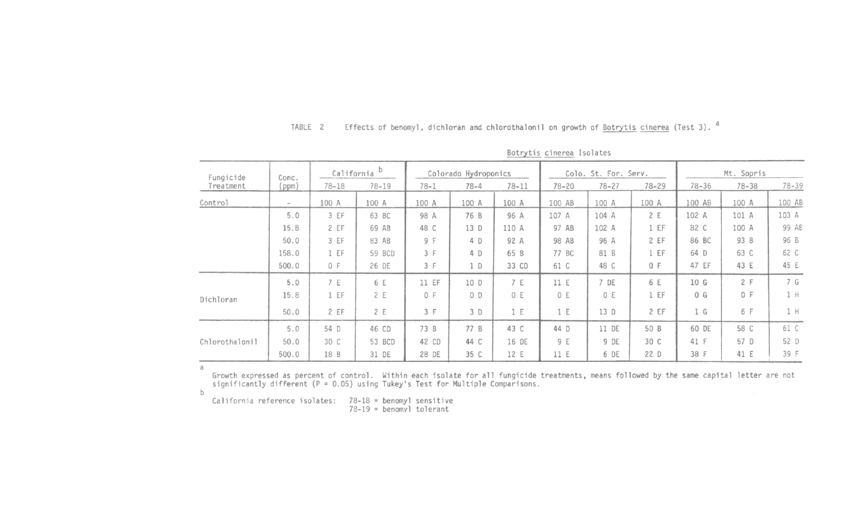|                |                |                 |           |                      |          |                      | $-0.700$ $-0.0000$ $-0.0000$ |           |            |           |           |        |
|----------------|----------------|-----------------|-----------|----------------------|----------|----------------------|------------------------------|-----------|------------|-----------|-----------|--------|
| Fungicide      | Conc.<br>(ppm) | b<br>California |           | Colorado Hydroponics |          | Colo. St. For. Serv. |                              |           | Mt. Sopris |           |           |        |
| Treatment      |                | $78 - 18$       | $78 - 19$ | $78 - 1$             | $78 - 4$ | $78 - 11$            | $78 - 20$                    | $78 - 27$ | $78 - 29$  | $78 - 36$ | $78 - 38$ | 78-39  |
| Control        | $\,$           | 100 A           | 100 A     | 100 A                | 100 A    | 100 A                | 100 AB                       | 100 A     | 100 A      | 100 AB    | 100 A     | 100 AB |
|                | 5.0            | 3 EF            | 63 BC     | 98 A                 | 76 B     | 96 A                 | 107 A                        | 104 A     | 2 E        | 102 A     | 101 A     | 103 A  |
|                | 15.8           | 2 EF            | 69 AB     | 48 C                 | 13 D     | 110 A                | 97 AB                        | 102 A     | 1 EF       | 82 C      | 100 A     | 99 AB  |
|                | 50.0           | 3 EF            | 83 AB     | 9 F                  | 4 D      | 92 A                 | 98 AB                        | 96 A      | 2 EF       | 86 BC     | 93 B      | 96 B   |
|                | 158.0          | 1 EF            | 59 BCD    | 3 F                  | 4 D      | 65 B                 | 77 BC                        | 81 B      | 1 EF       | 64 D      | 63 C      | 62 C   |
|                | 500.0          | 0 F             | 26 DE     | 3 F                  | 1 D      | 33 CD                | 61 C                         | 48 C      | 0 F        | 47 EF     | 43 E      | 45 E   |
|                | 5.0            | 7 E             | 6 E       | 11 EF                | 10 D     | 7 E                  | 11 E                         | 7 DE      | 6 E        | 10 G      | 2 F       | 7 G    |
| Dichloran      | 15.8           | 1 EF            | 2 E       | 0 F                  | $O$ $D$  | 0 E                  | 0 E                          | 0 E       | 1 EF       | 0 G       | 0 F       | $1$ H  |
|                | 50.0           | 2 EF            | 2 E       | 3 F                  | 3 D      | 1 E                  | 1 E                          | 13 D      | 2 EF       | 1 G       | 6 F       | 1 H    |
|                | 5.0            | 54 D            | 46 CD     | 73 B                 | 77 B     | 43 C                 | 44 D                         | 11 DE     | 50 B       | 60 DE     | 58 C      | 61 C   |
| Chlorothalonil | 50.0           | 30 C            | 53 BCD    | 42 CD                | 44 C     | 16 DE                | 9 E                          | 9 DE      | 30 C       | 41 F      | 57 D      | 52 D   |
|                | 500.0          | 18 B            | 31 DE     | 28 DE                | 35 C     | 12 E                 | 11 E                         | 6 DE      | 22 D       | 38 F      | 41 E      | 39 F   |

Botrytis cinerea Isolates

Effects of benomyl, dichloran and chlorothalonil on growth of Botrytis cinerea (Test 3). <sup>a</sup>

 $\rm{a}$ 

Growth expressed as percent of control. Within each isolate for all fungicide treatments, means followed by the same capital letter are not significantly different ( $P = 0.05$ ) using Tukey's Test for Multiple Comparisons.

 $b$ 

California reference isolates:  $78-18 =$  benomyl sensitive<br> $78-19 =$  benomyl tolerant

TABLE 2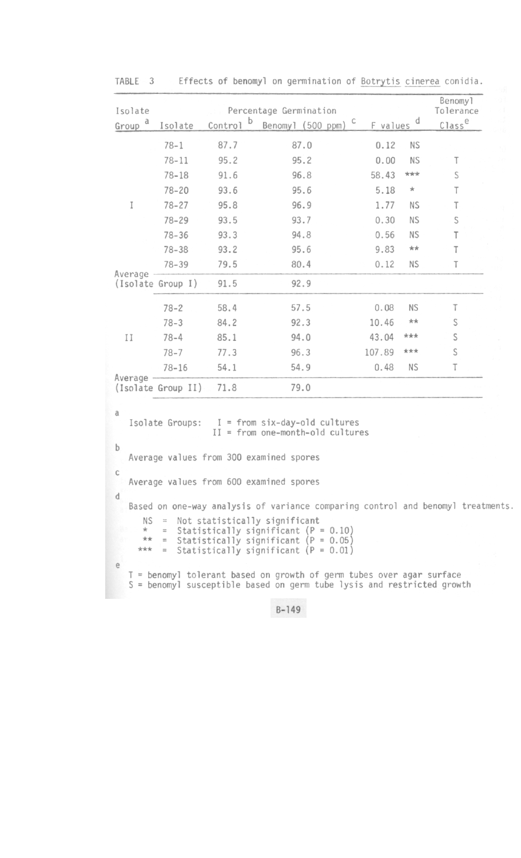| Isolate                            |                                                                                                                                                                                        |              | Percentage Germination                                                                                                                                                                                                                          |            |           | Benomy1<br>Tolerance |
|------------------------------------|----------------------------------------------------------------------------------------------------------------------------------------------------------------------------------------|--------------|-------------------------------------------------------------------------------------------------------------------------------------------------------------------------------------------------------------------------------------------------|------------|-----------|----------------------|
| Group <sup>d</sup>                 | Isolate                                                                                                                                                                                | Þ<br>Control | Benomyl (500 ppm) C                                                                                                                                                                                                                             | F values d |           | Class <sup>e</sup>   |
|                                    | $78 - 1$                                                                                                                                                                               | 87.7         | 87.0                                                                                                                                                                                                                                            | 0.12       | <b>NS</b> |                      |
|                                    | $78 - 11$                                                                                                                                                                              | 95.2         | 95.2                                                                                                                                                                                                                                            | 0.00       | <b>NS</b> | Τ                    |
|                                    | $78 - 18$                                                                                                                                                                              | 91.6         | 96.8                                                                                                                                                                                                                                            | 58.43      | ***       | S                    |
|                                    | 78-20                                                                                                                                                                                  | 93.6         | 95.6                                                                                                                                                                                                                                            | 5.18       | $\ast$    | т                    |
| I                                  | $78 - 27$                                                                                                                                                                              | 95.8         | 96.9                                                                                                                                                                                                                                            | 1.77       | <b>NS</b> | T                    |
|                                    | $78 - 29$                                                                                                                                                                              | 93.5         | 93.7                                                                                                                                                                                                                                            | 0.30       | <b>NS</b> | S                    |
|                                    | $78 - 36$                                                                                                                                                                              | 93.3         | 94.8                                                                                                                                                                                                                                            | 0.56       | <b>NS</b> | T                    |
|                                    | $78 - 38$                                                                                                                                                                              | 93.2         | 95.6                                                                                                                                                                                                                                            | 9.83       | $***$     | T                    |
|                                    | $78 - 39$                                                                                                                                                                              | 79.5         | 80.4                                                                                                                                                                                                                                            | 0.12       | ΝS        | Τ                    |
| Average                            | (Isolate Group I)                                                                                                                                                                      | 91.5         | 92.9                                                                                                                                                                                                                                            |            |           |                      |
|                                    | $78 - 2$                                                                                                                                                                               | 58.4         | 57.5                                                                                                                                                                                                                                            | 0.08       | <b>NS</b> | Τ                    |
|                                    | $78 - 3$                                                                                                                                                                               | 84.2         | 92.3                                                                                                                                                                                                                                            | 10.46      | $**$      | S                    |
| $\mathbb{I}$                       | $78 - 4$                                                                                                                                                                               | 85.1         | 94.0                                                                                                                                                                                                                                            | 43.04      | ***       | S                    |
|                                    | $78 - 7$                                                                                                                                                                               | 77.3         | 96.3                                                                                                                                                                                                                                            | 107.89     | ***       | S                    |
|                                    | $78 - 16$                                                                                                                                                                              | 54.1         | 54.9                                                                                                                                                                                                                                            | 0.48       | ΝS        | Τ                    |
| Average                            | (Isolate Group II)                                                                                                                                                                     | 71.8         | 79.0                                                                                                                                                                                                                                            |            |           |                      |
| a<br>$\mathbf b$                   | Isolate Groups:                                                                                                                                                                        |              | I = from six-day-old cultures<br>$II = from one-month-old cultures$<br>Average values from 300 examined spores                                                                                                                                  |            |           |                      |
| $\mathbb{C}$                       |                                                                                                                                                                                        |              | Average values from 600 examined spores                                                                                                                                                                                                         |            |           |                      |
| d<br>ΝS<br>$^{\star}$<br>**<br>*** | $\frac{\partial \mathcal{L}(\mathbf{r})}{\partial \mathcal{L}(\mathbf{r})} = \frac{\partial \mathcal{L}(\mathbf{r})}{\partial \mathcal{L}(\mathbf{r})}$<br>$\equiv$<br>$=$<br>$\equiv$ |              | Based on one-way analysis of variance comparing control and benomyl treatments<br>Not statistically significant<br>Statistically significant ( $P = 0.10$ )<br>Statistically significant $(P = 0.05)$<br>Statistically significant $(P = 0.01)$ |            |           |                      |
| e                                  |                                                                                                                                                                                        |              | T = benomyl tolerant based on growth of germ tubes over agar surface<br>S = benomyl susceptible based on germ tube lysis and restricted growth                                                                                                  |            |           |                      |

TABLE 3 Effects of benomyl on germination of Botrytis cinerea conidia.

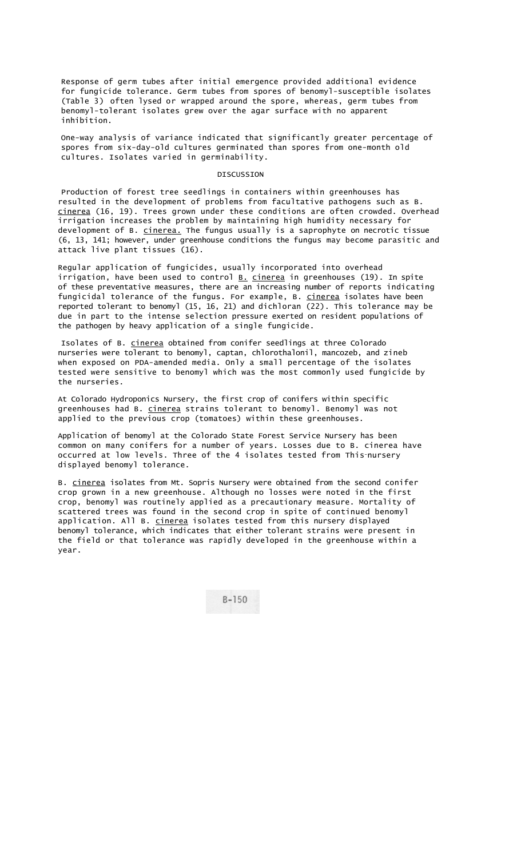Response of germ tubes after initial emergence provided additional evidence for fungicide tolerance. Germ tubes from spores of benomyl-susceptible isolates (Table 3) often lysed or wrapped around the spore, whereas, germ tubes from benomyl-tolerant isolates grew over the agar surface with no apparent inhibition.

One-way analysis of variance indicated that significantly greater percentage of spores from six-day-old cultures germinated than spores from one-month old cultures. Isolates varied in germinability.

### DISCUSSION

Production of forest tree seedlings in containers within greenhouses has resulted in the development of problems from facultative pathogens such as B. cinerea (16, 19). Trees grown under these conditions are often crowded. Overhead irrigation increases the problem by maintaining high humidity necessary for development of B. cinerea. The fungus usually is a saprophyte on necrotic tissue (6, 13, 141; however, under greenhouse conditions the fungus may become parasitic and attack live plant tissues (16).

Regular application of fungicides, usually incorporated into overhead irrigation, have been used to control  $B.$  cinerea in greenhouses (19). In spite of these preventative measures, there are an increasing number of reports indicating fungicidal tolerance of the fungus. For example, B. cinerea isolates have been reported tolerant to benomyl (15, 16, 21) and dichloran (22). This tolerance may be due in part to the intense selection pressure exerted on resident populations of the pathogen by heavy application of a single fungicide.

Isolates of B. cinerea obtained from conifer seedlings at three Colorado nurseries were tolerant to benomyl, captan, chlorothalonil, mancozeb, and zineb when exposed on PDA-amended media. Only a small percentage of the isolates tested were sensitive to benomyl which was the most commonly used fungicide by the nurseries.

At Colorado Hydroponics Nursery, the first crop of conifers within specific greenhouses had B. cinerea strains tolerant to benomyl. Benomyl was not applied to the previous crop (tomatoes) within these greenhouses.

Application of benomyl at the Colorado State Forest Service Nursery has been common on many conifers for a number of years. Losses due to B. cinerea have occurred at low levels. Three of the 4 isolates tested from This-nursery displayed benomyl tolerance.

B. cinerea isolates from Mt. Sopris Nursery were obtained from the second conifer crop grown in a new greenhouse. Although no losses were noted in the first crop, benomyl was routinely applied as a precautionary measure. Mortality of scattered trees was found in the second crop in spite of continued benomyl application. All B. cinerea isolates tested from this nursery displayed benomyl tolerance, which indicates that either tolerant strains were present in the field or that tolerance was rapidly developed in the greenhouse within a year.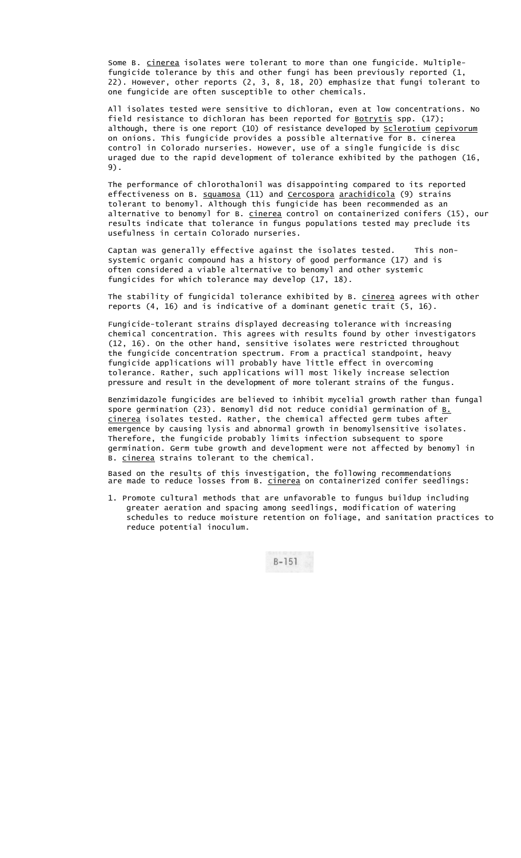Some B. cinerea isolates were tolerant to more than one fungicide. Multiplefungicide tolerance by this and other fungi has been previously reported (1, 22). However, other reports (2, 3, 8, 18, 20) emphasize that fungi tolerant to one fungicide are often susceptible to other chemicals.

All isolates tested were sensitive to dichloran, even at low concentrations. No field resistance to dichloran has been reported for <u>Botrytis</u> spp. (17); although, there is one report (10) of resistance developed by **Sclerotium** cepivorum on onions. This fungicide provides a possible alternative for B. cinerea control in Colorado nurseries. However, use of a single fungicide is disc uraged due to the rapid development of tolerance exhibited by the pathogen (16, 9).

The performance of chlorothalonil was disappointing compared to its reported effectiveness on B. squamosa (11) and Cercospora arachidicola (9) strains tolerant to benomyl. Although this fungicide has been recommended as an alternative to benomyl for B. cinerea control on containerized conifers (15), our results indicate that tolerance in fungus populations tested may preclude its usefulness in certain Colorado nurseries.

Captan was generally effective against the isolates tested. This nonsystemic organic compound has a history of good performance (17) and is often considered a viable alternative to benomyl and other systemic fungicides for which tolerance may develop (17, 18).

The stability of fungicidal tolerance exhibited by B. cinerea agrees with other reports (4, 16) and is indicative of a dominant genetic trait (5, 16).

Fungicide-tolerant strains displayed decreasing tolerance with increasing chemical concentration. This agrees with results found by other investigators (12, 16). On the other hand, sensitive isolates were restricted throughout the fungicide concentration spectrum. From a practical standpoint, heavy fungicide applications will probably have little effect in overcoming tolerance. Rather, such applications will most likely increase selection pressure and result in the development of more tolerant strains of the fungus.

Benzimidazole fungicides are believed to inhibit mycelial growth rather than fungal spore germination (23). Benomyl did not reduce conidial germination of  $B_L$ . cinerea isolates tested. Rather, the chemical affected germ tubes after emergence by causing lysis and abnormal growth in benomylsensitive isolates. Therefore, the fungicide probably limits infection subsequent to spore germination. Germ tube growth and development were not affected by benomyl in B. cinerea strains tolerant to the chemical.

Based on the results of this investigation, the following recommendations are made to reduce losses from B. <u>cinerea</u> on containerized conifer seedlings:

1. Promote cultural methods that are unfavorable to fungus buildup including greater aeration and spacing among seedlings, modification of watering schedules to reduce moisture retention on foliage, and sanitation practices to reduce potential inoculum.

 $B - 151$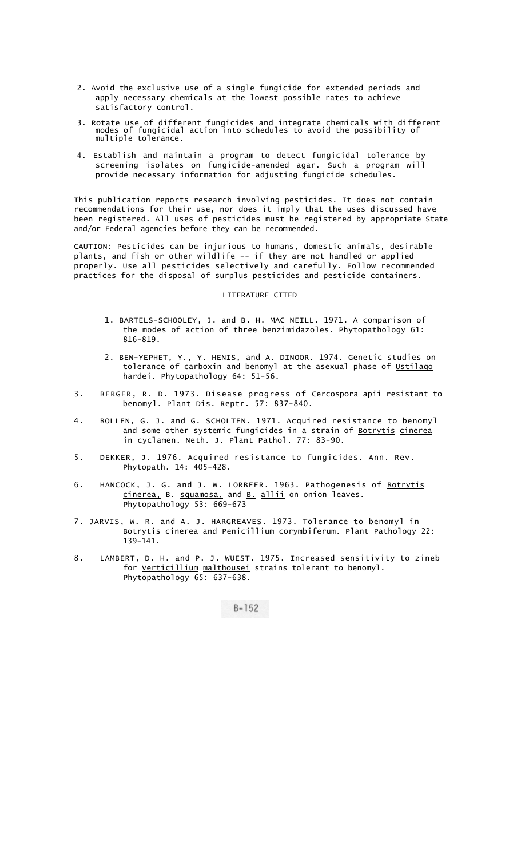- 2. Avoid the exclusive use of a single fungicide for extended periods and apply necessary chemicals at the lowest possible rates to achieve satisfactory control.
- 3. Rotate use of different fungicides and integrate chemicals with different modes of fungicidal action into schedules to avoid the possibility of multiple tolerance.
- 4. Establish and maintain a program to detect fungicidal tolerance by screening isolates on fungicide-amended agar. Such a program will provide necessary information for adjusting fungicide schedules.

This publication reports research involving pesticides. It does not contain recommendations for their use, nor does it imply that the uses discussed have been registered. All uses of pesticides must be registered by appropriate State and/or Federal agencies before they can be recommended.

CAUTION: Pesticides can be injurious to humans, domestic animals, desirable plants, and fish or other wildlife -- if they are not handled or applied properly. Use all pesticides selectively and carefully. Follow recommended practices for the disposal of surplus pesticides and pesticide containers.

# LITERATURE CITED

- 1. BARTELS-SCHOOLEY, J. and B. H. MAC NEILL. 1971. A comparison of the modes of action of three benzimidazoles. Phytopathology 61: 816-819.
- 2. BEN-YEPHET, Y., Y. HENIS, and A. DINOOR. 1974. Genetic studies on tolerance of carboxin and benomyl at the asexual phase of Ustilago hardei. Phytopathology 64: 51-56.
- 3. BERGER, R. D. 1973. Disease progress of Cercospora apii resistant to benomyl. Plant Dis. Reptr. 57: 837-840.
- 4. BOLLEN, G. J. and G. SCHOLTEN. 1971. Acquired resistance to benomyl and some other systemic fungicides in a strain of Botrytis cinerea in cyclamen. Neth. J. Plant Pathol. 77: 83-90.
- 5. DEKKER, J. 1976. Acquired resistance to fungicides. Ann. Rev. Phytopath. 14: 405-428.
- 6. HANCOCK, J. G. and J. W. LORBEER. 1963. Pathogenesis of Botrytis cinerea, B. squamosa, and B. allii on onion leaves. Phytopathology 53: 669-673
- 7. JARVIS, W. R. and A. J. HARGREAVES. 1973. Tolerance to benomyl in Botrytis cinerea and Penicillium corymbiferum. Plant Pathology 22: 139-141.
- 8. LAMBERT, D. H. and P. J. WUEST. 1975. Increased sensitivity to zineb for <u>Verticillium</u> malthousei strains tolerant to benomyl. Phytopathology 65: 637-638.

 $B - 152$